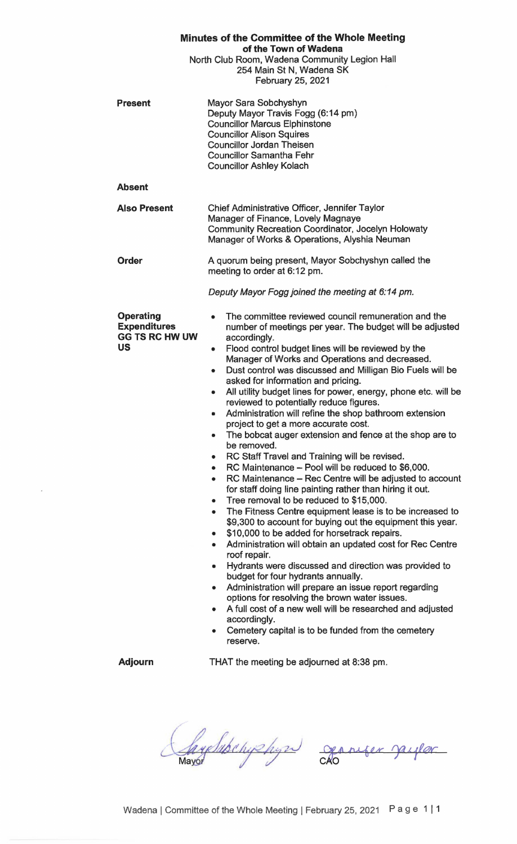| <b>Minutes of the Committee of the Whole Meeting</b><br>of the Town of Wadena<br>North Club Room, Wadena Community Legion Hall |                                                                                                                                                                                                                                                                                                                                                                                                                                                                                                                                                                                                                                                                                                                                                                                                                                                                                                                                                                                                                                                                                                                                                                                                                                                                                                                                                                                                                                                                                                                                                                                                                                    |
|--------------------------------------------------------------------------------------------------------------------------------|------------------------------------------------------------------------------------------------------------------------------------------------------------------------------------------------------------------------------------------------------------------------------------------------------------------------------------------------------------------------------------------------------------------------------------------------------------------------------------------------------------------------------------------------------------------------------------------------------------------------------------------------------------------------------------------------------------------------------------------------------------------------------------------------------------------------------------------------------------------------------------------------------------------------------------------------------------------------------------------------------------------------------------------------------------------------------------------------------------------------------------------------------------------------------------------------------------------------------------------------------------------------------------------------------------------------------------------------------------------------------------------------------------------------------------------------------------------------------------------------------------------------------------------------------------------------------------------------------------------------------------|
|                                                                                                                                | 254 Main St N, Wadena SK<br>February 25, 2021                                                                                                                                                                                                                                                                                                                                                                                                                                                                                                                                                                                                                                                                                                                                                                                                                                                                                                                                                                                                                                                                                                                                                                                                                                                                                                                                                                                                                                                                                                                                                                                      |
| <b>Present</b>                                                                                                                 | Mayor Sara Sobchyshyn<br>Deputy Mayor Travis Fogg (6:14 pm)<br><b>Councillor Marcus Elphinstone</b><br><b>Councillor Alison Squires</b><br><b>Councillor Jordan Theisen</b><br><b>Councillor Samantha Fehr</b><br><b>Councillor Ashley Kolach</b>                                                                                                                                                                                                                                                                                                                                                                                                                                                                                                                                                                                                                                                                                                                                                                                                                                                                                                                                                                                                                                                                                                                                                                                                                                                                                                                                                                                  |
| <b>Absent</b>                                                                                                                  |                                                                                                                                                                                                                                                                                                                                                                                                                                                                                                                                                                                                                                                                                                                                                                                                                                                                                                                                                                                                                                                                                                                                                                                                                                                                                                                                                                                                                                                                                                                                                                                                                                    |
| <b>Also Present</b>                                                                                                            | Chief Administrative Officer, Jennifer Taylor<br>Manager of Finance, Lovely Magnaye<br><b>Community Recreation Coordinator, Jocelyn Holowaty</b><br>Manager of Works & Operations, Alyshia Neuman                                                                                                                                                                                                                                                                                                                                                                                                                                                                                                                                                                                                                                                                                                                                                                                                                                                                                                                                                                                                                                                                                                                                                                                                                                                                                                                                                                                                                                  |
| <b>Order</b>                                                                                                                   | A quorum being present, Mayor Sobchyshyn called the<br>meeting to order at 6:12 pm.                                                                                                                                                                                                                                                                                                                                                                                                                                                                                                                                                                                                                                                                                                                                                                                                                                                                                                                                                                                                                                                                                                                                                                                                                                                                                                                                                                                                                                                                                                                                                |
|                                                                                                                                | Deputy Mayor Fogg joined the meeting at 6:14 pm.                                                                                                                                                                                                                                                                                                                                                                                                                                                                                                                                                                                                                                                                                                                                                                                                                                                                                                                                                                                                                                                                                                                                                                                                                                                                                                                                                                                                                                                                                                                                                                                   |
| <b>Operating</b><br><b>Expenditures</b><br><b>GG TS RC HW UW</b><br><b>US</b>                                                  | The committee reviewed council remuneration and the<br>$\bullet$<br>number of meetings per year. The budget will be adjusted<br>accordingly.<br>Flood control budget lines will be reviewed by the<br>$\bullet$<br>Manager of Works and Operations and decreased.<br>Dust control was discussed and Milligan Bio Fuels will be<br>۰<br>asked for information and pricing.<br>All utility budget lines for power, energy, phone etc. will be<br>۰<br>reviewed to potentially reduce figures.<br>Administration will refine the shop bathroom extension<br>۰<br>project to get a more accurate cost.<br>The bobcat auger extension and fence at the shop are to<br>۰<br>be removed.<br>RC Staff Travel and Training will be revised.<br>۰<br>RC Maintenance - Pool will be reduced to \$6,000.<br>۰<br>RC Maintenance - Rec Centre will be adjusted to account<br>۰<br>for staff doing line painting rather than hiring it out.<br>Tree removal to be reduced to \$15,000.<br>٠<br>The Fitness Centre equipment lease is to be increased to<br>$\bullet$<br>\$9,300 to account for buying out the equipment this year.<br>\$10,000 to be added for horsetrack repairs.<br>۰<br>Administration will obtain an updated cost for Rec Centre<br>۰<br>roof repair.<br>Hydrants were discussed and direction was provided to<br>۰<br>budget for four hydrants annually.<br>Administration will prepare an issue report regarding<br>۰<br>options for resolving the brown water issues.<br>A full cost of a new well will be researched and adjusted<br>۰<br>accordingly.<br>Cemetery capital is to be funded from the cemetery<br>reserve. |
| <b>Adjourn</b>                                                                                                                 | THAT the meeting be adjourned at 8:38 pm.                                                                                                                                                                                                                                                                                                                                                                                                                                                                                                                                                                                                                                                                                                                                                                                                                                                                                                                                                                                                                                                                                                                                                                                                                                                                                                                                                                                                                                                                                                                                                                                          |

 $\bar{\bar{z}}$ 

SaysSuperyshyn oppuger jayler

Wadena | Committee of the Whole Meeting | February 25, 2021 P a g e 1 | 1